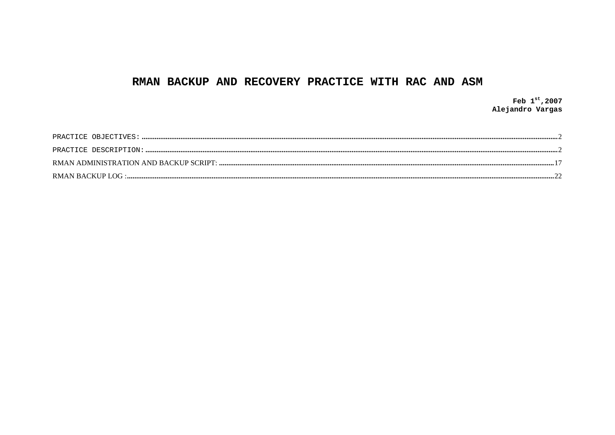## RMAN BACKUP AND RECOVERY PRACTICE WITH RAC AND ASM

Feb  $1^{st}$ , 2007 Alejandro Vargas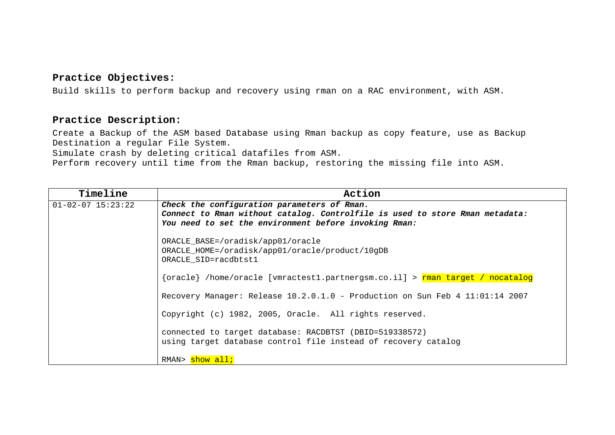#### <span id="page-1-0"></span>**Practice Objectives:**

Build skills to perform backup and recovery using rman on a RAC environment, with ASM.

#### **Practice Description:**

Create a Backup of the ASM based Database using Rman backup as copy feature, use as Backup Destination a regular File System.

Simulate crash by deleting critical datafiles from ASM.

Perform recovery until time from the Rman backup, restoring the missing file into ASM.

| Timeline                | Action                                                                                                                                |
|-------------------------|---------------------------------------------------------------------------------------------------------------------------------------|
| $01 - 02 - 07$ 15:23:22 | Check the configuration parameters of Rman.                                                                                           |
|                         | Connect to Rman without catalog. Controlfile is used to store Rman metadata:<br>You need to set the environment before invoking Rman: |
|                         |                                                                                                                                       |
|                         | ORACLE_BASE=/oradisk/app01/oracle                                                                                                     |
|                         | ORACLE_HOME=/oradisk/app01/oracle/product/10gDB                                                                                       |
|                         | ORACLE_SID=racdbtst1                                                                                                                  |
|                         | {oracle} /home/oracle [vmractest1.partnergsm.co.il] > rman target / nocatalog                                                         |
|                         | Recovery Manager: Release 10.2.0.1.0 - Production on Sun Feb 4 11:01:14 2007                                                          |
|                         | Copyright (c) 1982, 2005, Oracle. All rights reserved.                                                                                |
|                         | connected to target database: RACDBTST (DBID=519338572)                                                                               |
|                         | using target database control file instead of recovery catalog                                                                        |
|                         | RMAN> show all;                                                                                                                       |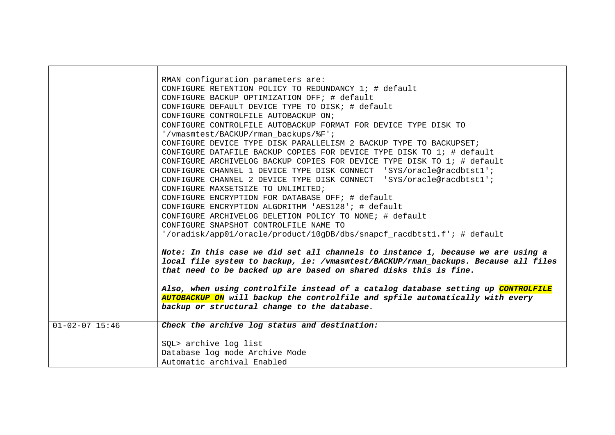|                      | RMAN configuration parameters are:                                                 |
|----------------------|------------------------------------------------------------------------------------|
|                      | CONFIGURE RETENTION POLICY TO REDUNDANCY 1; # default                              |
|                      | CONFIGURE BACKUP OPTIMIZATION OFF; # default                                       |
|                      | CONFIGURE DEFAULT DEVICE TYPE TO DISK; # default                                   |
|                      | CONFIGURE CONTROLFILE AUTOBACKUP ON;                                               |
|                      | CONFIGURE CONTROLFILE AUTOBACKUP FORMAT FOR DEVICE TYPE DISK TO                    |
|                      | '/vmasmtest/BACKUP/rman backups/%F';                                               |
|                      | CONFIGURE DEVICE TYPE DISK PARALLELISM 2 BACKUP TYPE TO BACKUPSET;                 |
|                      | CONFIGURE DATAFILE BACKUP COPIES FOR DEVICE TYPE DISK TO 1; # default              |
|                      | CONFIGURE ARCHIVELOG BACKUP COPIES FOR DEVICE TYPE DISK TO 1; # default            |
|                      | CONFIGURE CHANNEL 1 DEVICE TYPE DISK CONNECT 'SYS/oracle@racdbtst1';               |
|                      | CONFIGURE CHANNEL 2 DEVICE TYPE DISK CONNECT 'SYS/oracle@racdbtst1';               |
|                      | CONFIGURE MAXSETSIZE TO UNLIMITED;                                                 |
|                      | CONFIGURE ENCRYPTION FOR DATABASE OFF; # default                                   |
|                      | CONFIGURE ENCRYPTION ALGORITHM 'AES128'; # default                                 |
|                      | CONFIGURE ARCHIVELOG DELETION POLICY TO NONE; # default                            |
|                      | CONFIGURE SNAPSHOT CONTROLFILE NAME TO                                             |
|                      | '/oradisk/app01/oracle/product/10gDB/dbs/snapcf_racdbtst1.f'; # default            |
|                      |                                                                                    |
|                      | Note: In this case we did set all channels to instance 1, because we are using a   |
|                      | local file system to backup, ie: /vmasmtest/BACKUP/rman_backups. Because all files |
|                      | that need to be backed up are based on shared disks this is fine.                  |
|                      |                                                                                    |
|                      | Also, when using controlfile instead of a catalog database setting up CONTROLFILE  |
|                      | AUTOBACKUP ON will backup the controlfile and spfile automatically with every      |
|                      | backup or structural change to the database.                                       |
|                      |                                                                                    |
| $01 - 02 - 07$ 15:46 | Check the archive log status and destination:                                      |
|                      |                                                                                    |
|                      | SQL> archive log list                                                              |
|                      | Database log mode Archive Mode                                                     |
|                      | Automatic archival Enabled                                                         |

┍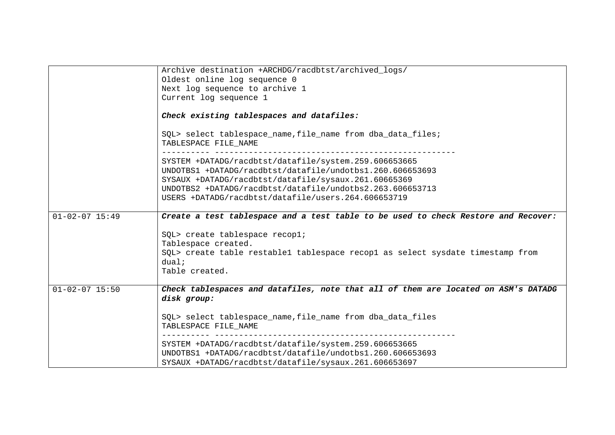|                      | Archive destination +ARCHDG/racdbtst/archived_logs/                                                                                                                         |
|----------------------|-----------------------------------------------------------------------------------------------------------------------------------------------------------------------------|
|                      | Oldest online log sequence 0                                                                                                                                                |
|                      | Next log sequence to archive 1                                                                                                                                              |
|                      | Current log sequence 1                                                                                                                                                      |
|                      | Check existing tablespaces and datafiles:                                                                                                                                   |
|                      | SQL> select tablespace_name, file_name from dba_data_files;<br>TABLESPACE FILE_NAME                                                                                         |
|                      | SYSTEM +DATADG/racdbtst/datafile/system.259.606653665                                                                                                                       |
|                      | UNDOTBS1 +DATADG/racdbtst/datafile/undotbs1.260.606653693                                                                                                                   |
|                      | SYSAUX +DATADG/racdbtst/datafile/sysaux.261.60665369                                                                                                                        |
|                      | UNDOTBS2 +DATADG/racdbtst/datafile/undotbs2.263.606653713                                                                                                                   |
|                      | USERS +DATADG/racdbtst/datafile/users.264.606653719                                                                                                                         |
|                      |                                                                                                                                                                             |
| $01 - 02 - 07$ 15:49 | Create a test tablespace and a test table to be used to check Restore and Recover:                                                                                          |
|                      | SQL> create tablespace recopl;                                                                                                                                              |
|                      | Tablespace created.                                                                                                                                                         |
|                      | SQL> create table restable1 tablespace recop1 as select sysdate timestamp from                                                                                              |
|                      | dual:                                                                                                                                                                       |
|                      | Table created.                                                                                                                                                              |
|                      |                                                                                                                                                                             |
| $01 - 02 - 07$ 15:50 | Check tablespaces and datafiles, note that all of them are located on ASM's DATADG<br>disk group:                                                                           |
|                      | SQL> select tablespace_name, file_name from dba_data_files<br>TABLESPACE FILE NAME                                                                                          |
|                      | SYSTEM +DATADG/racdbtst/datafile/system.259.606653665<br>UNDOTBS1 +DATADG/racdbtst/datafile/undotbs1.260.606653693<br>SYSAUX +DATADG/racdbtst/datafile/sysaux.261.606653697 |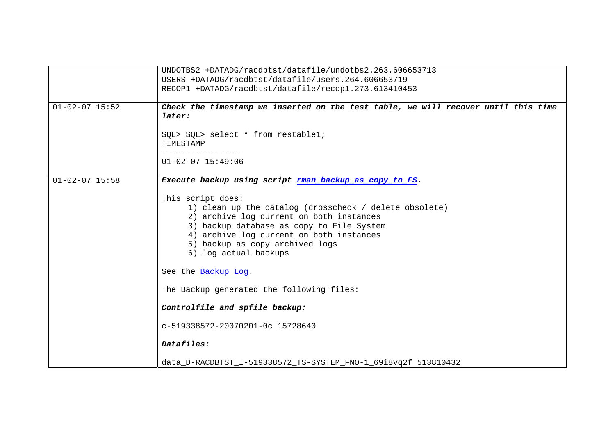|                      | UNDOTBS2 +DATADG/racdbtst/datafile/undotbs2.263.606653713                                                                                                                                                                                                                                           |
|----------------------|-----------------------------------------------------------------------------------------------------------------------------------------------------------------------------------------------------------------------------------------------------------------------------------------------------|
|                      | USERS +DATADG/racdbtst/datafile/users.264.606653719                                                                                                                                                                                                                                                 |
|                      | RECOP1 +DATADG/racdbtst/datafile/recop1.273.613410453                                                                                                                                                                                                                                               |
|                      |                                                                                                                                                                                                                                                                                                     |
| $01 - 02 - 07$ 15:52 | Check the timestamp we inserted on the test table, we will recover until this time<br>later:                                                                                                                                                                                                        |
|                      | SQL> SQL> select * from restable1;<br>TIMESTAMP                                                                                                                                                                                                                                                     |
|                      | $01 - 02 - 07$ 15:49:06                                                                                                                                                                                                                                                                             |
| $01 - 02 - 07$ 15:58 | Execute backup using script rman_backup_as_copy_to_FS.                                                                                                                                                                                                                                              |
|                      | This script does:<br>1) clean up the catalog (crosscheck / delete obsolete)<br>2) archive log current on both instances<br>3) backup database as copy to File System<br>4) archive log current on both instances<br>5) backup as copy archived logs<br>6) log actual backups<br>See the Backup Log. |
|                      | The Backup generated the following files:                                                                                                                                                                                                                                                           |
|                      | Controlfile and spfile backup:                                                                                                                                                                                                                                                                      |
|                      | c-519338572-20070201-0c 15728640                                                                                                                                                                                                                                                                    |
|                      | Datafiles:                                                                                                                                                                                                                                                                                          |
|                      | data_D-RACDBTST_I-519338572_TS-SYSTEM_FNO-1_69i8vq2f 513810432                                                                                                                                                                                                                                      |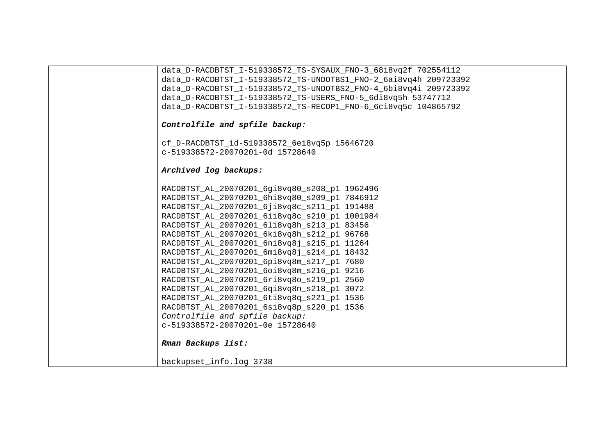| data_D-RACDBTST_I-519338572_TS-SYSAUX_FNO-3_68i8vq2f                    702554112 |
|-----------------------------------------------------------------------------------|
| data D-RACDBTST I-519338572 TS-UNDOTBS1 FNO-2 6ai8vq4h 209723392                  |
| data D-RACDBTST I-519338572 TS-UNDOTBS2 FNO-4 6bi8vq4i 209723392                  |
| data D-RACDBTST I-519338572 TS-USERS FNO-5 6di8vq5h 53747712                      |
| data_D-RACDBTST_I-519338572_TS-RECOP1_FNO-6_6ci8vq5c 104865792                    |
| Controlfile and spfile backup:                                                    |
| cf_D-RACDBTST_id-519338572_6ei8vq5p 15646720                                      |
| c-519338572-20070201-0d 15728640                                                  |
| Archived log backups:                                                             |
| RACDBTST_AL_20070201_6gi8vq80_s208_p1 1962496                                     |
| RACDBTST_AL_20070201_6hi8vq80_s209_p1 7846912                                     |
| RACDBTST_AL_20070201_6ji8vq8c_s211_p1 191488                                      |
| RACDBTST_AL_20070201_6ii8vq8c_s210_p1 1001984                                     |
| RACDBTST AL 20070201 6li8vq8h s213 p1 83456                                       |
| RACDBTST_AL_20070201_6ki8vq8h_s212_p1 96768                                       |
| RACDBTST_AL_20070201_6ni8vq8j_s215_p1 11264                                       |
| RACDBTST_AL_20070201_6mi8vq8j_s214_p1 18432                                       |
| RACDBTST_AL_20070201_6pi8vq8m_s217_p1 7680                                        |
| RACDBTST_AL_20070201_6oi8vq8m_s216_p1 9216                                        |
| RACDBTST_AL_20070201_6ri8vq8o_s219_p1 2560                                        |
| RACDBTST_AL_20070201_6qi8vq8n_s218_p1 3072                                        |
| RACDBTST_AL_20070201_6ti8vq8q_s221_p1 1536                                        |
| RACDBTST_AL_20070201_6si8vq8p_s220_p1 1536<br>Controlfile and spfile backup:      |
| c-519338572-20070201-0e 15728640                                                  |
|                                                                                   |
| Rman Backups list:                                                                |
| backupset_info.log 3738                                                           |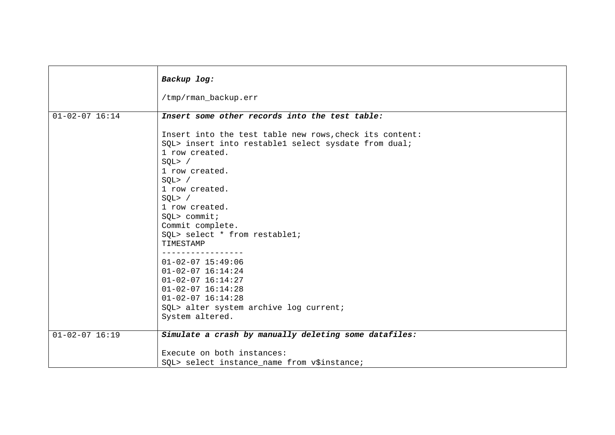|                      | Backup log:<br>/tmp/rman_backup.err                                                                                                                                                                                                                                                                                                                                                                                                                                                                                                                                                           |
|----------------------|-----------------------------------------------------------------------------------------------------------------------------------------------------------------------------------------------------------------------------------------------------------------------------------------------------------------------------------------------------------------------------------------------------------------------------------------------------------------------------------------------------------------------------------------------------------------------------------------------|
| $01 - 02 - 07$ 16:14 | Insert some other records into the test table:<br>Insert into the test table new rows, check its content:<br>SQL> insert into restable1 select sysdate from dual;<br>1 row created.<br>SQL > /<br>1 row created.<br>SQL > /<br>1 row created.<br>SQL > /<br>1 row created.<br>$SQL >$ commit;<br>Commit complete.<br>SQL> select * from restable1;<br>TIMESTAMP<br>--------------<br>$01 - 02 - 07$ 15:49:06<br>$01 - 02 - 07$ $16:14:24$<br>$01 - 02 - 07$ $16:14:27$<br>$01 - 02 - 07$ $16:14:28$<br>$01 - 02 - 07$ $16:14:28$<br>SQL> alter system archive log current;<br>System altered. |
| $01 - 02 - 07$ 16:19 | Simulate a crash by manually deleting some datafiles:<br>Execute on both instances:<br>SQL> select instance_name from v\$instance;                                                                                                                                                                                                                                                                                                                                                                                                                                                            |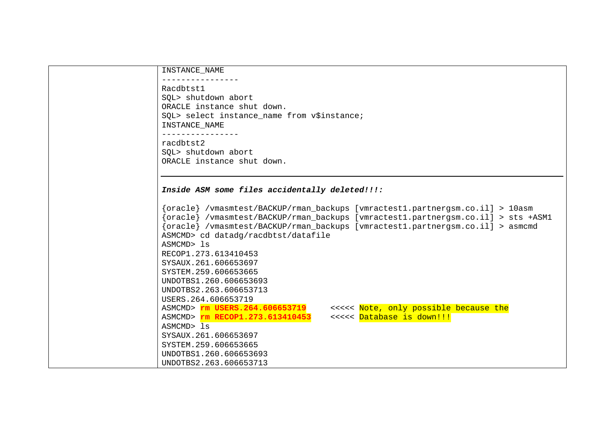| INSTANCE_NAME                                                                     |
|-----------------------------------------------------------------------------------|
|                                                                                   |
| Racdbtst1                                                                         |
| SQL> shutdown abort                                                               |
| ORACLE instance shut down.                                                        |
| SQL> select instance_name from v\$instance;<br>INSTANCE NAME                      |
| ________________                                                                  |
| racdbtst2                                                                         |
| SQL> shutdown abort                                                               |
| ORACLE instance shut down.                                                        |
|                                                                                   |
|                                                                                   |
| Inside ASM some files accidentally deleted!!!:                                    |
|                                                                                   |
| {oracle} /vmasmtest/BACKUP/rman_backups [vmractest1.partnergsm.co.il] > 10asm     |
| {oracle} /vmasmtest/BACKUP/rman_backups [vmractest1.partnergsm.co.il] > sts +ASM1 |
| {oracle} /vmasmtest/BACKUP/rman_backups [vmractest1.partnergsm.co.il] > asmcmd    |
| ASMCMD> cd datadg/racdbtst/datafile                                               |
| ASMCMD> 1s                                                                        |
| RECOP1.273.613410453                                                              |
| SYSAUX.261.606653697                                                              |
| SYSTEM.259.606653665                                                              |
| UNDOTBS1.260.606653693                                                            |
| UNDOTBS2.263.606653713                                                            |
| USERS. 264.606653719                                                              |
| <<<<< Note, only possible because the<br>ASMCMD> rm USERS.264.606653719           |
| <<<<< Database is down!!!<br>ASMCMD> rm RECOP1.273.613410453                      |
| ASMCMD> ls                                                                        |
| SYSAUX. 261.606653697                                                             |
| SYSTEM.259.606653665                                                              |
| UNDOTBS1.260.606653693                                                            |
| UNDOTBS2.263.606653713                                                            |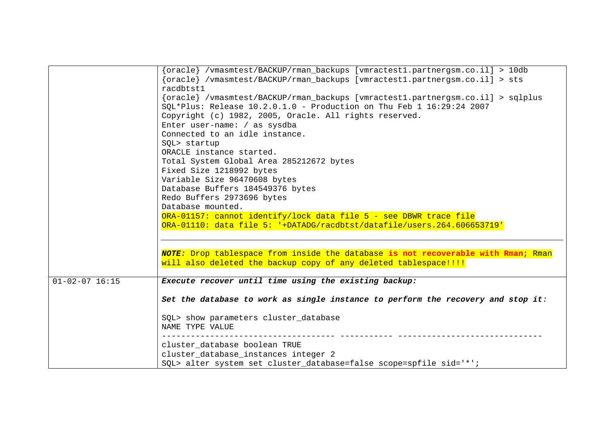|                      | {oracle} /vmasmtest/BACKUP/rman_backups [vmractest1.partnergsm.co.il] > 10db                                                                            |
|----------------------|---------------------------------------------------------------------------------------------------------------------------------------------------------|
|                      | {oracle} /vmasmtest/BACKUP/rman_backups [vmractest1.partnergsm.co.il] > sts<br>racdbtst1                                                                |
|                      | {oracle} /vmasmtest/BACKUP/rman_backups [vmractest1.partnergsm.co.il] > sqlplus<br>SOL*Plus: Release 10.2.0.1.0 - Production on Thu Feb 1 16:29:24 2007 |
|                      | Copyright (c) 1982, 2005, Oracle. All rights reserved.                                                                                                  |
|                      | Enter user-name: / as sysdba                                                                                                                            |
|                      | Connected to an idle instance.                                                                                                                          |
|                      | SQL> startup                                                                                                                                            |
|                      | ORACLE instance started.                                                                                                                                |
|                      | Total System Global Area 285212672 bytes                                                                                                                |
|                      | Fixed Size 1218992 bytes                                                                                                                                |
|                      | Variable Size 96470608 bytes                                                                                                                            |
|                      | Database Buffers 184549376 bytes                                                                                                                        |
|                      | Redo Buffers 2973696 bytes                                                                                                                              |
|                      | Database mounted.<br>ORA-01157: cannot identify/lock data file 5 - see DBWR trace file                                                                  |
|                      | ORA-01110: data file 5: '+DATADG/racdbtst/datafile/users.264.606653719'                                                                                 |
|                      |                                                                                                                                                         |
|                      |                                                                                                                                                         |
|                      | NOTE: Drop tablespace from inside the database is not recoverable with Rman; Rman                                                                       |
|                      | will also deleted the backup copy of any deleted tablespace!!!!                                                                                         |
|                      |                                                                                                                                                         |
| $01 - 02 - 07$ 16:15 | Execute recover until time using the existing backup:                                                                                                   |
|                      | Set the database to work as single instance to perform the recovery and stop it:                                                                        |
|                      | SQL> show parameters cluster_database<br>NAME TYPE VALUE                                                                                                |
|                      | cluster_database boolean TRUE                                                                                                                           |
|                      | cluster_database_instances integer 2                                                                                                                    |
|                      | SQL> alter system set cluster_database=false scope=spfile sid='*';                                                                                      |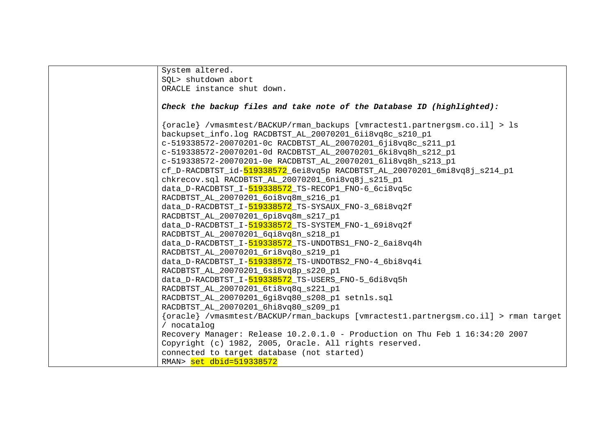| System altered.                                                                                                                            |
|--------------------------------------------------------------------------------------------------------------------------------------------|
| SOL> shutdown abort                                                                                                                        |
| ORACLE instance shut down.                                                                                                                 |
|                                                                                                                                            |
| Check the backup files and take note of the Database ID (highlighted):                                                                     |
| {oracle} /vmasmtest/BACKUP/rman_backups [vmractest1.partnergsm.co.il] > ls                                                                 |
| backupset_info.log RACDBTST_AL_20070201_6ii8vq8c_s210_p1                                                                                   |
| c-519338572-20070201-0c RACDBTST_AL_20070201_6ji8vq8c_s211_p1                                                                              |
| c-519338572-20070201-0d RACDBTST_AL_20070201_6ki8vq8h_s212_p1                                                                              |
|                                                                                                                                            |
| c-519338572-20070201-0e RACDBTST_AL_20070201_6li8vq8h_s213_p1<br>cf_D-RACDBTST_id-519338572_6ei8vq5p_RACDBTST_AL_20070201_6mi8vq8j_s214_p1 |
|                                                                                                                                            |
| chkrecov.sql RACDBTST_AL_20070201_6ni8vq8j_s215_p1                                                                                         |
| data_D-RACDBTST_I-519338572_TS-RECOP1_FNO-6_6ci8vq5c                                                                                       |
| RACDBTST AL 20070201 6oi8vq8m s216 p1                                                                                                      |
| data_D-RACDBTST_I-519338572_TS-SYSAUX_FNO-3_68i8vq2f                                                                                       |
| RACDBTST_AL_20070201_6pi8vq8m_s217_p1                                                                                                      |
| data_D-RACDBTST_I-519338572_TS-SYSTEM_FNO-1_69i8vq2f                                                                                       |
| RACDBTST_AL_20070201_6qi8vq8n_s218_p1                                                                                                      |
| data_D-RACDBTST_I-519338572_TS-UNDOTBS1_FNO-2_6ai8vq4h                                                                                     |
| RACDBTST_AL_20070201_6ri8vq8o_s219_p1                                                                                                      |
| data_D-RACDBTST_I-519338572_TS-UNDOTBS2_FNO-4_6bi8vq4i                                                                                     |
| RACDBTST AL 20070201 6si8vq8p s220 p1                                                                                                      |
| data_D-RACDBTST_I-519338572_TS-USERS_FNO-5_6di8vq5h                                                                                        |
| RACDBTST_AL_20070201_6ti8vq8q_s221_p1                                                                                                      |
| RACDBTST_AL_20070201_6gi8vq80_s208_p1 setnls.sql                                                                                           |
| RACDBTST_AL_20070201_6hi8vq80_s209_p1                                                                                                      |
| {oracle} /vmasmtest/BACKUP/rman_backups [vmractest1.partnergsm.co.il] > rman target                                                        |
| / nocatalog                                                                                                                                |
| Recovery Manager: Release 10.2.0.1.0 - Production on Thu Feb 1 16:34:20 2007                                                               |
| Copyright (c) 1982, 2005, Oracle. All rights reserved.                                                                                     |
| connected to target database (not started)                                                                                                 |
| RMAN> set dbid=519338572                                                                                                                   |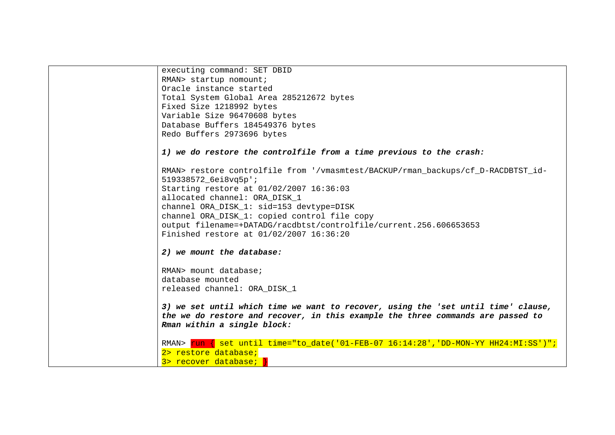```
executing command: SET DBID 
RMAN> startup nomount; 
Oracle instance started Total System Global Area 285212672 bytes 
Fixed Size 1218992 bytes 
Variable Size 96470608 bytes 
Database Buffers 184549376 bytes 
Redo Buffers 2973696 bytes 
1) we do restore the controlfile from a time previous to the crash: 
RMAN> restore controlfile from '/vmasmtest/BACKUP/rman_backups/cf_D-RACDBTST_id-
519338572_6ei8vq5p'; 
Starting restore at 01/02/2007 16:36:03 
allocated channel: ORA_DISK_1 
channel ORA_DISK_1: sid=153 devtype=DISK 
channel ORA_DISK_1: copied control file copy 
output filename=+DATADG/racdbtst/controlfile/current.256.606653653 
Finished restore at 01/02/2007 16:36:20 
2) we mount the database: 
RMAN> mount database; database mounted 
released channel: ORA_DISK_1 
3) we set until which time we want to recover, using the 'set until time' clause, 
the we do restore and recover, in this example the three commands are passed to 
Rman within a single block: 
RMAN> run { set until time="to date('01-FEB-07 16:14:28','DD-MON-YY HH24:MI:SS')";
2> restore database; 
3> recover database; |
```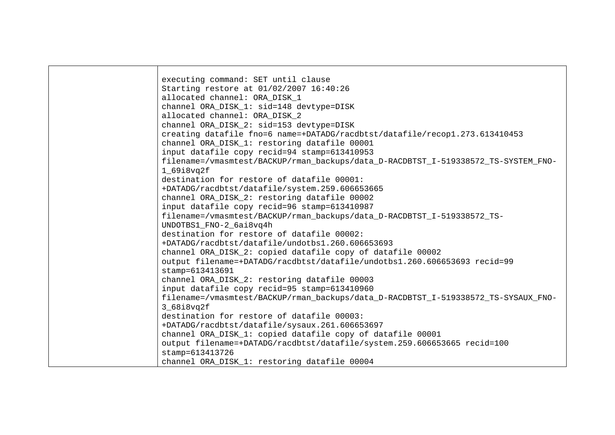executing command: SET until clause Starting restore at 01/02/2007 16:40:26 allocated channel: ORA\_DISK\_1 channel ORA\_DISK\_1: sid=148 devtype=DISK allocated channel: ORA\_DISK\_2 channel ORA\_DISK\_2: sid=153 devtype=DISK creating datafile fno=6 name=+DATADG/racdbtst/datafile/recop1.273.613410453 channel ORA\_DISK\_1: restoring datafile 00001 input datafile copy recid=94 stamp=613410953 filename=/vmasmtest/BACKUP/rman\_backups/data\_D-RACDBTST\_I-519338572\_TS-SYSTEM\_FNO-1\_69i8vq2f destination for restore of datafile 00001: +DATADG/racdbtst/datafile/system.259.606653665 channel ORA\_DISK\_2: restoring datafile 00002 input datafile copy recid=96 stamp=613410987 filename=/vmasmtest/BACKUP/rman\_backups/data\_D-RACDBTST\_I-519338572\_TS-UNDOTBS1\_FNO-2\_6ai8vq4h destination for restore of datafile 00002: +DATADG/racdbtst/datafile/undotbs1.260.606653693 channel ORA\_DISK\_2: copied datafile copy of datafile 00002 output filename=+DATADG/racdbtst/datafile/undotbs1.260.606653693 recid=99 stamp=613413691 channel ORA\_DISK\_2: restoring datafile 00003 input datafile copy recid=95 stamp=613410960 filename=/vmasmtest/BACKUP/rman\_backups/data\_D-RACDBTST\_I-519338572\_TS-SYSAUX\_FNO-3\_68i8vq2f destination for restore of datafile 00003: +DATADG/racdbtst/datafile/sysaux.261.606653697 channel ORA\_DISK\_1: copied datafile copy of datafile 00001 output filename=+DATADG/racdbtst/datafile/system.259.606653665 recid=100 stamp=613413726 channel ORA\_DISK\_1: restoring datafile 00004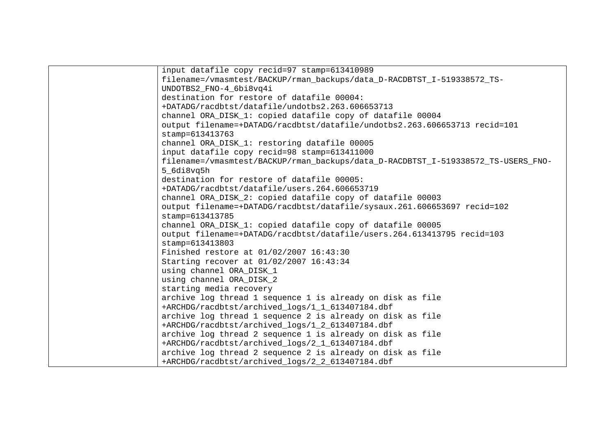| input datafile copy recid=97 stamp=613410989                                      |
|-----------------------------------------------------------------------------------|
| filename=/vmasmtest/BACKUP/rman backups/data D-RACDBTST I-519338572 TS-           |
| UNDOTBS2_FNO-4_6bi8vq4i                                                           |
| destination for restore of datafile 00004:                                        |
| +DATADG/racdbtst/datafile/undotbs2.263.606653713                                  |
| channel ORA_DISK_1: copied datafile copy of datafile 00004                        |
| output filename=+DATADG/racdbtst/datafile/undotbs2.263.606653713 recid=101        |
| stamp=613413763                                                                   |
| channel ORA_DISK_1: restoring datafile 00005                                      |
| input datafile copy recid=98 stamp=613411000                                      |
| filename=/vmasmtest/BACKUP/rman_backups/data_D-RACDBTST_I-519338572_TS-USERS_FNO- |
| 5 6di8vq5h                                                                        |
| destination for restore of datafile 00005:                                        |
| +DATADG/racdbtst/datafile/users.264.606653719                                     |
| channel ORA_DISK_2: copied datafile copy of datafile 00003                        |
| output filename=+DATADG/racdbtst/datafile/sysaux.261.606653697 recid=102          |
| stamp=613413785                                                                   |
| channel ORA_DISK_1: copied datafile copy of datafile 00005                        |
| output filename=+DATADG/racdbtst/datafile/users.264.613413795 recid=103           |
| stamp=613413803                                                                   |
| Finished restore at 01/02/2007 16:43:30                                           |
| Starting recover at 01/02/2007 16:43:34                                           |
| using channel ORA_DISK_1                                                          |
| using channel ORA_DISK_2                                                          |
| starting media recovery                                                           |
| archive log thread 1 sequence 1 is already on disk as file                        |
| +ARCHDG/racdbtst/archived_logs/1_1_613407184.dbf                                  |
| archive log thread 1 sequence 2 is already on disk as file                        |
| +ARCHDG/racdbtst/archived_logs/1_2_613407184.dbf                                  |
| archive log thread 2 sequence 1 is already on disk as file                        |
| +ARCHDG/racdbtst/archived_logs/2_1_613407184.dbf                                  |
| archive log thread 2 sequence 2 is already on disk as file                        |
| +ARCHDG/racdbtst/archived_logs/2_2_613407184.dbf                                  |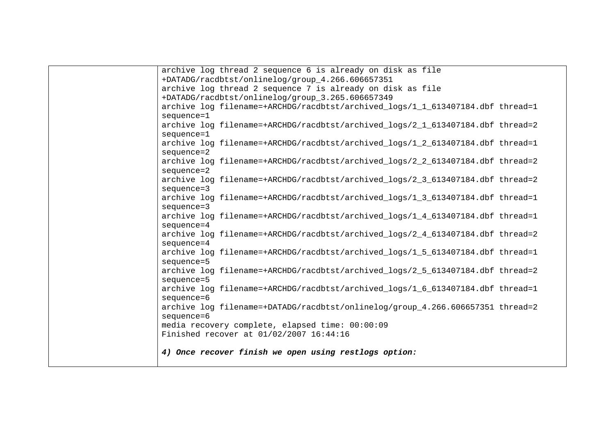| archive log thread 2 sequence 6 is already on disk as file                     |
|--------------------------------------------------------------------------------|
| +DATADG/racdbtst/onlinelog/group_4.266.606657351                               |
| archive log thread 2 sequence 7 is already on disk as file                     |
| +DATADG/racdbtst/onlinelog/group_3.265.606657349                               |
| archive log filename=+ARCHDG/racdbtst/archived_logs/1_1_613407184.dbf thread=1 |
| sequence=1                                                                     |
| archive log filename=+ARCHDG/racdbtst/archived_logs/2_1_613407184.dbf thread=2 |
| sequence=1                                                                     |
| archive log filename=+ARCHDG/racdbtst/archived_logs/1_2_613407184.dbf thread=1 |
| sequence=2                                                                     |
| archive log filename=+ARCHDG/racdbtst/archived_logs/2_2_613407184.dbf thread=2 |
| sequence=2                                                                     |
| archive log filename=+ARCHDG/racdbtst/archived logs/2 3 613407184.dbf thread=2 |
| sequence=3                                                                     |
| archive log filename=+ARCHDG/racdbtst/archived_logs/1_3_613407184.dbf thread=1 |
| sequence=3                                                                     |
| archive log filename=+ARCHDG/racdbtst/archived_logs/1_4_613407184.dbf thread=1 |
| sequence=4                                                                     |
| archive log filename=+ARCHDG/racdbtst/archived_logs/2_4_613407184.dbf thread=2 |
| sequence=4                                                                     |
| archive log filename=+ARCHDG/racdbtst/archived_logs/1_5_613407184.dbf thread=1 |
| sequence=5                                                                     |
| archive log filename=+ARCHDG/racdbtst/archived logs/2 5 613407184.dbf thread=2 |
| sequence=5                                                                     |
| archive log filename=+ARCHDG/racdbtst/archived_logs/1_6_613407184.dbf thread=1 |
| sequence=6                                                                     |
| archive log filename=+DATADG/racdbtst/onlinelog/group_4.266.606657351 thread=2 |
| sequence=6                                                                     |
| media recovery complete, elapsed time: 00:00:09                                |
| Finished recover at 01/02/2007 16:44:16                                        |
|                                                                                |
| 4) Once recover finish we open using restlogs option:                          |
|                                                                                |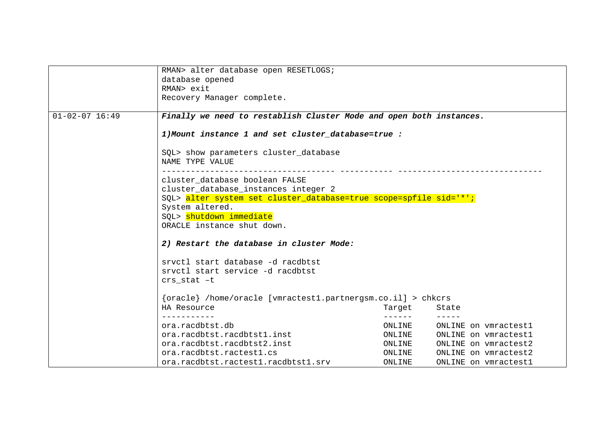|                      | RMAN> alter database open RESETLOGS;                                                                                       |        |                      |  |  |
|----------------------|----------------------------------------------------------------------------------------------------------------------------|--------|----------------------|--|--|
|                      | database opened                                                                                                            |        |                      |  |  |
|                      | RMAN> exit                                                                                                                 |        |                      |  |  |
|                      | Recovery Manager complete.                                                                                                 |        |                      |  |  |
|                      |                                                                                                                            |        |                      |  |  |
| $01 - 02 - 07$ 16:49 | Finally we need to restablish Cluster Mode and open both instances.<br>1) Mount instance 1 and set cluster_database=true : |        |                      |  |  |
|                      |                                                                                                                            |        |                      |  |  |
|                      | SQL> show parameters cluster_database<br>NAME TYPE VALUE                                                                   |        |                      |  |  |
|                      | cluster database boolean FALSE                                                                                             |        |                      |  |  |
|                      | cluster_database_instances integer 2                                                                                       |        |                      |  |  |
|                      | SQL> alter system set cluster_database=true scope=spfile sid='*';                                                          |        |                      |  |  |
|                      | System altered.<br>SQL> shutdown immediate<br>ORACLE instance shut down.                                                   |        |                      |  |  |
|                      |                                                                                                                            |        |                      |  |  |
|                      |                                                                                                                            |        |                      |  |  |
|                      |                                                                                                                            |        |                      |  |  |
|                      | 2) Restart the database in cluster Mode:                                                                                   |        |                      |  |  |
|                      | srvctl start database -d racdbtst                                                                                          |        |                      |  |  |
|                      | sryctl start service -d racdbtst                                                                                           |        |                      |  |  |
|                      | $crs$ stat $-t$                                                                                                            |        |                      |  |  |
|                      |                                                                                                                            |        |                      |  |  |
|                      | {oracle} /home/oracle [vmractest1.partnergsm.co.il] > chkcrs                                                               |        |                      |  |  |
|                      | HA Resource                                                                                                                | Target | State                |  |  |
|                      |                                                                                                                            | .      |                      |  |  |
|                      | ora.racdbtst.db                                                                                                            | ONLINE | ONLINE on vmractest1 |  |  |
|                      | ora.racdbtst.racdbtst1.inst                                                                                                | ONLINE | ONLINE on vmractest1 |  |  |
|                      | ora.racdbtst.racdbtst2.inst                                                                                                | ONLINE | ONLINE on vmractest2 |  |  |
|                      | ora.racdbtst.ractest1.cs                                                                                                   | ONLINE | ONLINE on vmractest2 |  |  |
|                      | ora.racdbtst.ractest1.racdbtst1.srv                                                                                        | ONLINE | ONLINE on vmractest1 |  |  |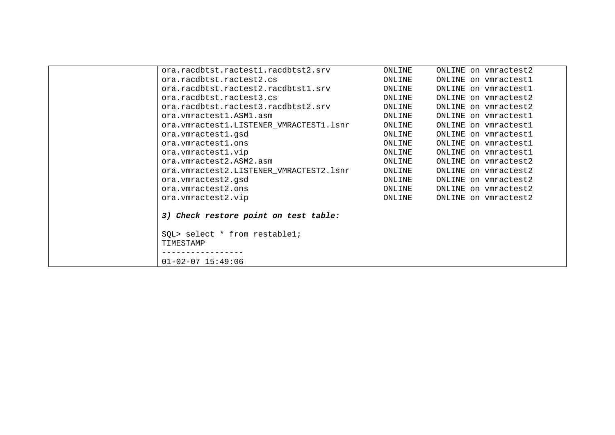| ora.racdbtst.ractest1.racdbtst2.srv     | ONLINE | ONLINE on vmractest2 |
|-----------------------------------------|--------|----------------------|
| ora.racdbtst.ractest2.cs                | ONLINE | ONLINE on vmractest1 |
| ora.racdbtst.ractest2.racdbtst1.srv     | ONLINE | ONLINE on vmractest1 |
| ora.racdbtst.ractest3.cs                | ONLINE | ONLINE on vmractest2 |
| ora.racdbtst.ractest3.racdbtst2.srv     | ONLINE | ONLINE on vmractest2 |
| ora. vmractest1. ASM1. asm              | ONLINE | ONLINE on vmractest1 |
| ora.vmractest1.LISTENER_VMRACTEST1.lsnr | ONLINE | ONLINE on vmractest1 |
| ora.vmractest1.gsd                      | ONLINE | ONLINE on vmractest1 |
| ora.vmractest1.ons                      | ONLINE | ONLINE on vmractest1 |
| ora.vmractest1.vip                      | ONLINE | ONLINE on vmractest1 |
| ora. vmractest2.ASM2.asm                | ONLINE | ONLINE on vmractest2 |
| ora.vmractest2.LISTENER_VMRACTEST2.lsnr | ONLINE | ONLINE on vmractest2 |
| ora.vmractest2.gsd                      | ONLINE | ONLINE on vmractest2 |
| ora. vmractest2.ons                     | ONLINE | ONLINE on vmractest2 |
| ora.vmractest2.vip                      | ONLINE | ONLINE on vmractest2 |
|                                         |        |                      |
| 3) Check restore point on test table:   |        |                      |
|                                         |        |                      |
| SQL> select * from restable1;           |        |                      |
| TIMESTAMP                               |        |                      |
|                                         |        |                      |
| $01 - 02 - 07$ 15:49:06                 |        |                      |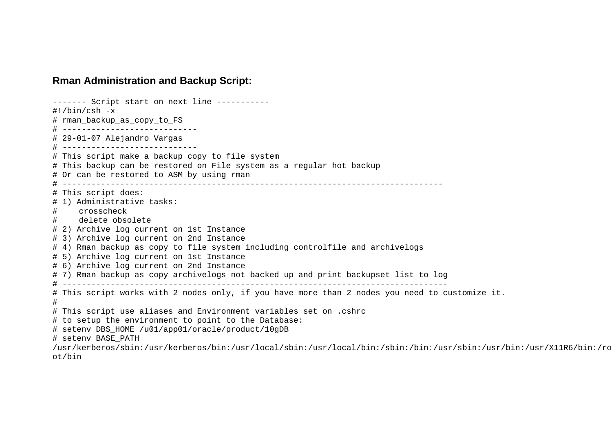### <span id="page-16-0"></span>**Rman Administration and Backup Script:**

------- Script start on next line -----------  $\#!/bin/csh$   $-x$ # rman\_backup\_as\_copy\_to\_FS # ---------------------------- # 29-01-07 Alejandro Vargas # ---------------------------- # This script make a backup copy to file system # This backup can be restored on File system as a regular hot backup # Or can be restored to ASM by using rman # ------------------------------------------------------------------------------- # This script does: # 1) Administrative tasks: # crosscheck delete obsolete # 2) Archive log current on 1st Instance # 3) Archive log current on 2nd Instance # 4) Rman backup as copy to file system including controlfile and archivelogs # 5) Archive log current on 1st Instance # 6) Archive log current on 2nd Instance # 7) Rman backup as copy archivelogs not backed up and print backupset list to log # -------------------------------------------------------------------------------- # This script works with 2 nodes only, if you have more than 2 nodes you need to customize it. # # This script use aliases and Environment variables set on .cshrc # to setup the environment to point to the Database: # setenv DBS\_HOME /u01/app01/oracle/product/10gDB # setenv BASE\_PATH /usr/kerberos/sbin:/usr/kerberos/bin:/usr/local/sbin:/usr/local/bin:/sbin:/bin:/usr/sbin:/usr/bin:/usr/X11R6/bin:/ro ot/bin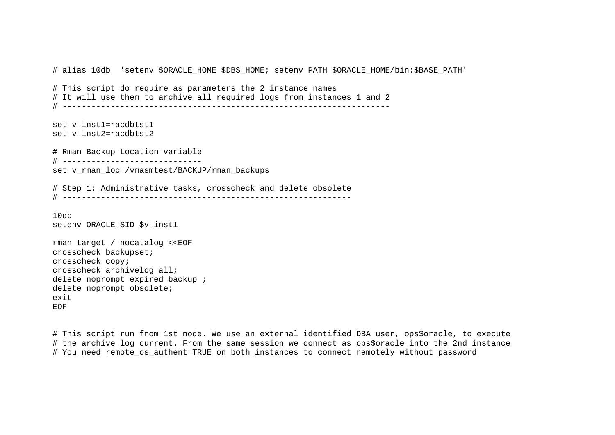# alias 10db 'setenv \$ORACLE HOME \$DBS HOME; setenv PATH \$ORACLE HOME/bin:\$BASE PATH' # This script do require as parameters the 2 instance names # It will use them to archive all required logs from instances 1 and 2 # ------------------------------------------------------------------- set v inst1=racdbtst1 set v\_inst2=racdbtst2 # Rman Backup Location variable # ---------------------------- set v\_rman\_loc=/vmasmtest/BACKUP/rman\_backups # Step 1: Administrative tasks, crosscheck and delete obsolete # ------------------------------------------------------------ 10db setenv ORACLE SID \$v inst1 rman target / nocatalog <<EOF crosscheck backupset; crosscheck copy; crosscheck archivelog all; delete noprompt expired backup ; delete noprompt obsolete; exit EOF

# This script run from 1st node. We use an external identified DBA user, ops\$oracle, to execute # the archive log current. From the same session we connect as ops\$oracle into the 2nd instance # You need remote os authent=TRUE on both instances to connect remotely without password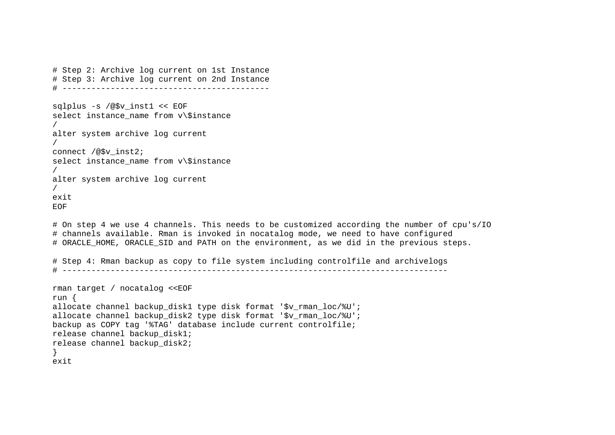```
# Step 2: Archive log current on 1st Instance 
# Step 3: Archive log current on 2nd Instance 
# ------------------------------------------- 
sqlplus -s /@$v_inst1 << EOF 
select instance_name from v\$instance
/ 
alter system archive log current 
/ 
connect /@$v_inst2; 
select instance name from v\$instance
/ 
alter system archive log current 
/ 
e^{x+i}EOF
# On step 4 we use 4 channels. This needs to be customized according the number of cpu's/IO 
# channels available. Rman is invoked in nocatalog mode, we need to have configured 
# ORACLE HOME, ORACLE SID and PATH on the environment, as we did in the previous steps.
# Step 4: Rman backup as copy to file system including controlfile and archivelogs 
# -------------------------------------------------------------------------------- 
rman target / nocatalog <<EOF 
run { 
allocate channel backup_disk1 type disk format '$v_rman_loc/%U'; 
allocate channel backup disk2 type disk format '$v_rman_loc/%U';
backup as COPY tag '%TAG' database include current controlfile; 
release channel backup_disk1; 
release channel backup_disk2; 
} 
exit
```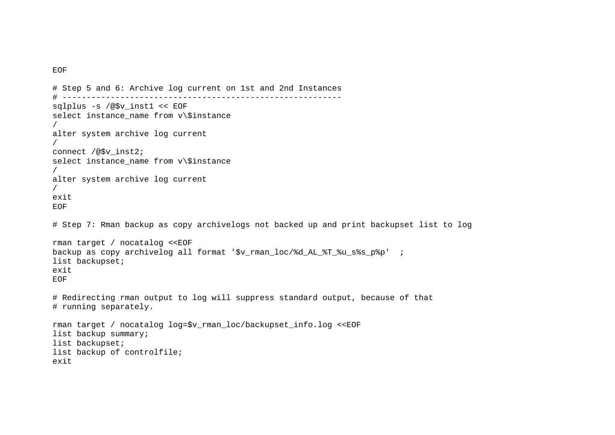```
EOF
```

```
# Step 5 and 6: Archive log current on 1st and 2nd Instances 
# ---------------------------------------------------------- 
sqlplus -s /@$v_inst1 << EOF 
select instance_name from v\$instance
/ 
alter system archive log current 
/ 
connect /@$v_inst2; 
select instance name from v\$instance
/ 
alter system archive log current 
/ 
exit EOF # Step 7: Rman backup as copy archivelogs not backed up and print backupset list to log 
rman target / nocatalog <<EOF 
backup as copy archivelog all format '$v_rman_loc/%d_AL_%T_%u_s%s_p%p' ; 
list backupset; 
exit EOF
# Redirecting rman output to log will suppress standard output, because of that 
# running separately. 
rman target / nocatalog log=$v_rman_loc/backupset_info.log <<EOF 
list backup summary; 
list backupset; 
list backup of controlfile; 
exit
```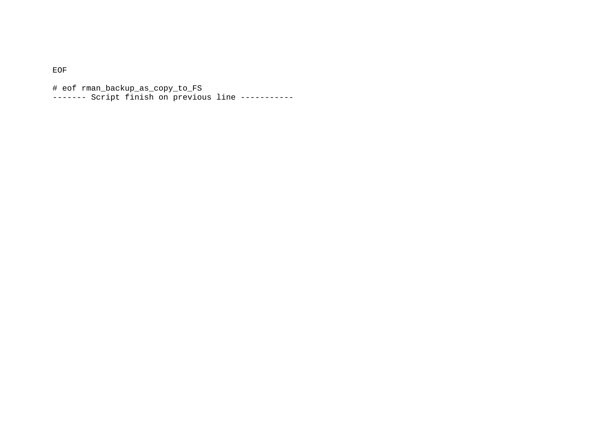EOF

# eof rman\_backup\_as\_copy\_to\_FS ------- Script finish on previous line -----------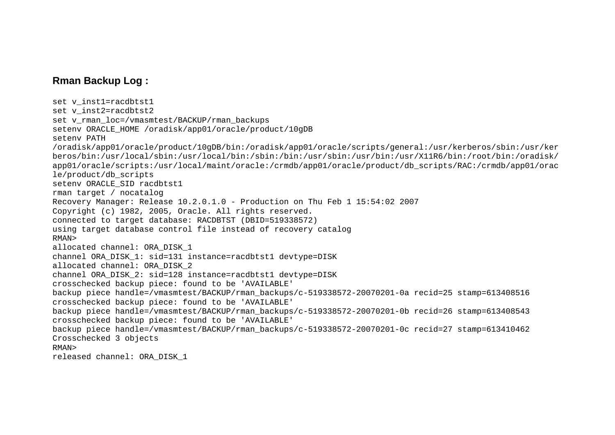# <span id="page-21-0"></span>**Rman Backup Log :**

```
set v inst1=racdbtst1
set v_inst2=racdbtst2
set v rman loc=/vmasmtest/BACKUP/rman backups
setenv ORACLE_HOME /oradisk/app01/oracle/product/10gDB 
setenv PATH /oradisk/app01/oracle/product/10gDB/bin:/oradisk/app01/oracle/scripts/general:/usr/kerberos/sbin:/usr/ker
beros/bin:/usr/local/sbin:/usr/local/bin:/sbin:/bin:/usr/sbin:/usr/bin:/usr/X11R6/bin:/root/bin:/oradisk/
app01/oracle/scripts:/usr/local/maint/oracle:/crmdb/app01/oracle/product/db_scripts/RAC:/crmdb/app01/orac
le/product/db_scripts 
setenv ORACLE_SID racdbtst1 
rman target / nocatalog 
Recovery Manager: Release 10.2.0.1.0 - Production on Thu Feb 1 15:54:02 2007 
Copyright (c) 1982, 2005, Oracle. All rights reserved. 
connected to target database: RACDBTST (DBID=519338572) 
using target database control file instead of recovery catalog 
RMAN> allocated channel: ORA_DISK_1 
channel ORA_DISK_1: sid=131 instance=racdbtst1 devtype=DISK 
allocated channel: ORA_DISK_2 
channel ORA_DISK_2: sid=128 instance=racdbtst1 devtype=DISK 
crosschecked backup piece: found to be 'AVAILABLE' 
backup piece handle=/vmasmtest/BACKUP/rman_backups/c-519338572-20070201-0a recid=25 stamp=613408516 
crosschecked backup piece: found to be 'AVAILABLE' 
backup piece handle=/vmasmtest/BACKUP/rman_backups/c-519338572-20070201-0b recid=26 stamp=613408543 
crosschecked backup piece: found to be 'AVAILABLE' 
backup piece handle=/vmasmtest/BACKUP/rman_backups/c-519338572-20070201-0c recid=27 stamp=613410462 
Crosschecked 3 objects 
RMAN> released channel: ORA_DISK_1
```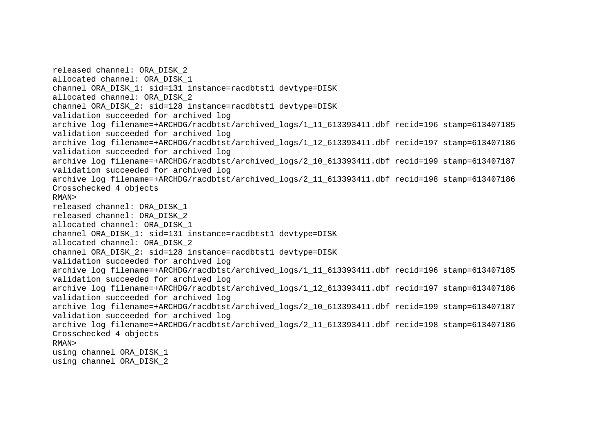released channel: ORA\_DISK\_2 allocated channel: ORA\_DISK\_1 channel ORA\_DISK\_1: sid=131 instance=racdbtst1 devtype=DISK allocated channel: ORA\_DISK\_2 channel ORA\_DISK\_2: sid=128 instance=racdbtst1 devtype=DISK validation succeeded for archived log archive log filename=+ARCHDG/racdbtst/archived\_logs/1\_11\_613393411.dbf recid=196 stamp=613407185 validation succeeded for archived log archive log filename=+ARCHDG/racdbtst/archived\_logs/1\_12\_613393411.dbf recid=197 stamp=613407186 validation succeeded for archived log archive log filename=+ARCHDG/racdbtst/archived\_logs/2\_10\_613393411.dbf recid=199 stamp=613407187 validation succeeded for archived log archive log filename=+ARCHDG/racdbtst/archived\_logs/2\_11\_613393411.dbf recid=198 stamp=613407186 Crosschecked 4 objects RMAN> released channel: ORA\_DISK\_1 released channel: ORA\_DISK\_2 allocated channel: ORA\_DISK\_1 channel ORA\_DISK\_1: sid=131 instance=racdbtst1 devtype=DISK allocated channel: ORA\_DISK\_2 channel ORA\_DISK\_2: sid=128 instance=racdbtst1 devtype=DISK validation succeeded for archived log archive log filename=+ARCHDG/racdbtst/archived\_logs/1\_11\_613393411.dbf recid=196 stamp=613407185 validation succeeded for archived log archive log filename=+ARCHDG/racdbtst/archived\_logs/1\_12\_613393411.dbf recid=197 stamp=613407186 validation succeeded for archived log archive log filename=+ARCHDG/racdbtst/archived\_logs/2\_10\_613393411.dbf recid=199 stamp=613407187 validation succeeded for archived log archive log filename=+ARCHDG/racdbtst/archived\_logs/2\_11\_613393411.dbf recid=198 stamp=613407186 Crosschecked 4 objects RMAN> using channel ORA\_DISK\_1 using channel ORA\_DISK\_2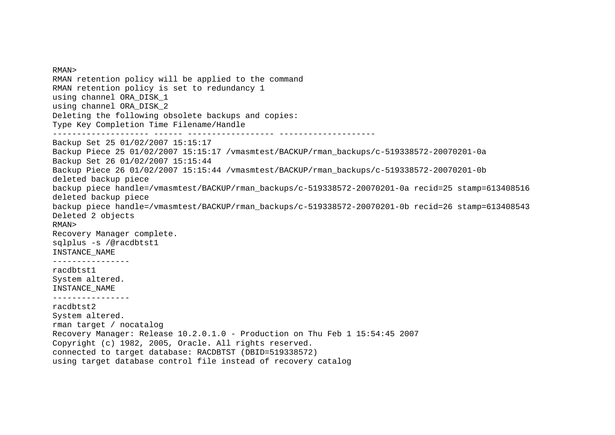RMAN> RMAN retention policy will be applied to the command RMAN retention policy is set to redundancy 1 using channel ORA\_DISK\_1 using channel ORA\_DISK\_2 Deleting the following obsolete backups and copies: Type Key Completion Time Filename/Handle -------------------- ------ ------------------ -------------------- Backup Set 25 01/02/2007 15:15:17 Backup Piece 25 01/02/2007 15:15:17 /vmasmtest/BACKUP/rman\_backups/c-519338572-20070201-0a Backup Set 26 01/02/2007 15:15:44 Backup Piece 26 01/02/2007 15:15:44 /vmasmtest/BACKUP/rman\_backups/c-519338572-20070201-0b deleted backup piece backup piece handle=/vmasmtest/BACKUP/rman\_backups/c-519338572-20070201-0a recid=25 stamp=613408516 deleted backup piece backup piece handle=/vmasmtest/BACKUP/rman\_backups/c-519338572-20070201-0b recid=26 stamp=613408543 Deleted 2 objects RMAN> Recovery Manager complete. sqlplus -s /@racdbtst1 INSTANCE\_NAME --------------- racdbtst1 System altered. INSTANCE\_NAME --------------- racdbtst2 System altered. rman target / nocatalog Recovery Manager: Release 10.2.0.1.0 - Production on Thu Feb 1 15:54:45 2007 Copyright (c) 1982, 2005, Oracle. All rights reserved. connected to target database: RACDBTST (DBID=519338572) using target database control file instead of recovery catalog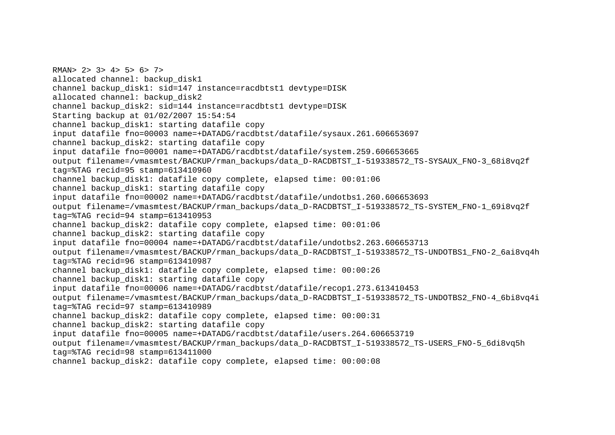RMAN> 2> 3> 4> 5> 6> 7> allocated channel: backup\_disk1 channel backup\_disk1: sid=147 instance=racdbtst1 devtype=DISK allocated channel: backup\_disk2 channel backup\_disk2: sid=144 instance=racdbtst1 devtype=DISK Starting backup at 01/02/2007 15:54:54 channel backup\_disk1: starting datafile copy input datafile fno=00003 name=+DATADG/racdbtst/datafile/sysaux.261.606653697 channel backup disk2: starting datafile copy input datafile fno=00001 name=+DATADG/racdbtst/datafile/system.259.606653665 output filename=/vmasmtest/BACKUP/rman\_backups/data\_D-RACDBTST\_I-519338572\_TS-SYSAUX\_FNO-3\_68i8vq2f tag=%TAG recid=95 stamp=613410960 channel backup disk1: datafile copy complete, elapsed time:  $00:01:06$ channel backup disk1: starting datafile copy input datafile fno=00002 name=+DATADG/racdbtst/datafile/undotbs1.260.606653693 output filename=/vmasmtest/BACKUP/rman\_backups/data\_D-RACDBTST\_I-519338572\_TS-SYSTEM\_FNO-1\_69i8vq2f tag=%TAG recid=94 stamp=613410953 channel backup\_disk2: datafile copy complete, elapsed time: 00:01:06 channel backup disk2: starting datafile copy input datafile fno=00004 name=+DATADG/racdbtst/datafile/undotbs2.263.606653713 output filename=/vmasmtest/BACKUP/rman\_backups/data\_D-RACDBTST\_I-519338572\_TS-UNDOTBS1\_FNO-2\_6ai8vq4h tag=%TAG recid=96 stamp=613410987 channel backup\_disk1: datafile copy complete, elapsed time: 00:00:26 channel backup disk1: starting datafile copy input datafile fno=00006 name=+DATADG/racdbtst/datafile/recop1.273.613410453 output filename=/vmasmtest/BACKUP/rman\_backups/data\_D-RACDBTST\_I-519338572\_TS-UNDOTBS2\_FNO-4\_6bi8vq4i tag=%TAG recid=97 stamp=613410989 channel backup\_disk2: datafile copy complete, elapsed time: 00:00:31 channel backup\_disk2: starting datafile copy input datafile fno=00005 name=+DATADG/racdbtst/datafile/users.264.606653719 output filename=/vmasmtest/BACKUP/rman\_backups/data\_D-RACDBTST\_I-519338572\_TS-USERS\_FNO-5\_6di8vq5h tag=%TAG recid=98 stamp=613411000 channel backup\_disk2: datafile copy complete, elapsed time: 00:00:08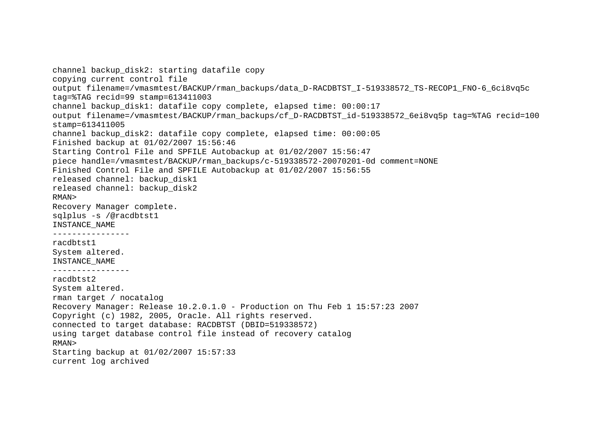channel backup disk2: starting datafile copy copying current control file output filename=/vmasmtest/BACKUP/rman\_backups/data\_D-RACDBTST\_I-519338572\_TS-RECOP1\_FNO-6\_6ci8vq5c tag=%TAG recid=99 stamp=613411003 channel backup\_disk1: datafile copy complete, elapsed time: 00:00:17 output filename=/vmasmtest/BACKUP/rman\_backups/cf\_D-RACDBTST\_id-519338572\_6ei8vq5p tag=%TAG recid=100 stamp=613411005 channel backup disk2: datafile copy complete, elapsed time: 00:00:05 Finished backup at 01/02/2007 15:56:46 Starting Control File and SPFILE Autobackup at 01/02/2007 15:56:47 piece handle=/vmasmtest/BACKUP/rman\_backups/c-519338572-20070201-0d comment=NONE Finished Control File and SPFILE Autobackup at 01/02/2007 15:56:55 released channel: backup\_disk1 released channel: backup\_disk2 RMAN> Recovery Manager complete. sqlplus -s /@racdbtst1 INSTANCE\_NAME --------------- racdbtst1 System altered. INSTANCE\_NAME --------------- racdbtst2 System altered. rman target / nocatalog Recovery Manager: Release 10.2.0.1.0 - Production on Thu Feb 1 15:57:23 2007 Copyright (c) 1982, 2005, Oracle. All rights reserved. connected to target database: RACDBTST (DBID=519338572) using target database control file instead of recovery catalog RMAN> Starting backup at 01/02/2007 15:57:33 current log archived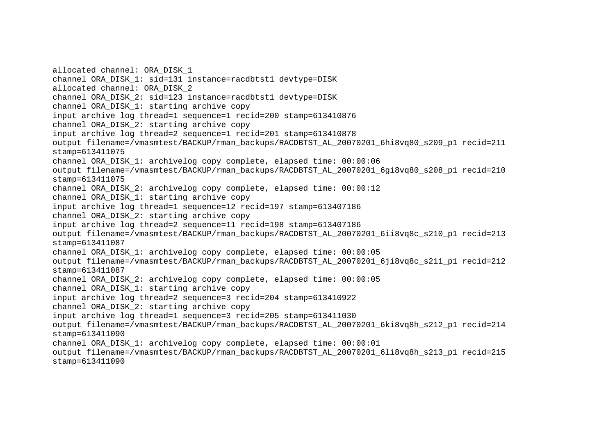allocated channel: ORA\_DISK\_1 channel ORA\_DISK\_1: sid=131 instance=racdbtst1 devtype=DISK allocated channel: ORA\_DISK\_2 channel ORA\_DISK\_2: sid=123 instance=racdbtst1 devtype=DISK channel ORA\_DISK\_1: starting archive copy input archive log thread=1 sequence=1 recid=200 stamp=613410876 channel ORA\_DISK\_2: starting archive copy input archive log thread=2 sequence=1 recid=201 stamp=613410878 output filename=/vmasmtest/BACKUP/rman\_backups/RACDBTST\_AL\_20070201\_6hi8vq80\_s209\_p1 recid=211 stamp=613411075 channel ORA\_DISK\_1: archivelog copy complete, elapsed time: 00:00:06 output filename=/vmasmtest/BACKUP/rman\_backups/RACDBTST\_AL\_20070201\_6gi8vq80\_s208\_p1 recid=210 stamp=613411075 channel ORA\_DISK\_2: archivelog copy complete, elapsed time: 00:00:12 channel ORA\_DISK\_1: starting archive copy input archive log thread=1 sequence=12 recid=197 stamp=613407186 channel ORA\_DISK\_2: starting archive copy input archive log thread=2 sequence=11 recid=198 stamp=613407186 output filename=/vmasmtest/BACKUP/rman\_backups/RACDBTST\_AL\_20070201\_6ii8vq8c\_s210\_p1 recid=213 stamp=613411087 channel ORA\_DISK\_1: archivelog copy complete, elapsed time: 00:00:05 output filename=/vmasmtest/BACKUP/rman\_backups/RACDBTST\_AL\_20070201\_6ji8vq8c\_s211\_p1 recid=212 stamp=613411087 channel ORA\_DISK\_2: archivelog copy complete, elapsed time: 00:00:05 channel ORA\_DISK\_1: starting archive copy input archive log thread=2 sequence=3 recid=204 stamp=613410922 channel ORA\_DISK\_2: starting archive copy input archive log thread=1 sequence=3 recid=205 stamp=613411030 output filename=/vmasmtest/BACKUP/rman\_backups/RACDBTST\_AL\_20070201\_6ki8vq8h\_s212\_p1 recid=214 stamp=613411090 channel ORA\_DISK\_1: archivelog copy complete, elapsed time: 00:00:01 output filename=/vmasmtest/BACKUP/rman\_backups/RACDBTST\_AL\_20070201\_6li8vq8h\_s213\_p1 recid=215 stamp=613411090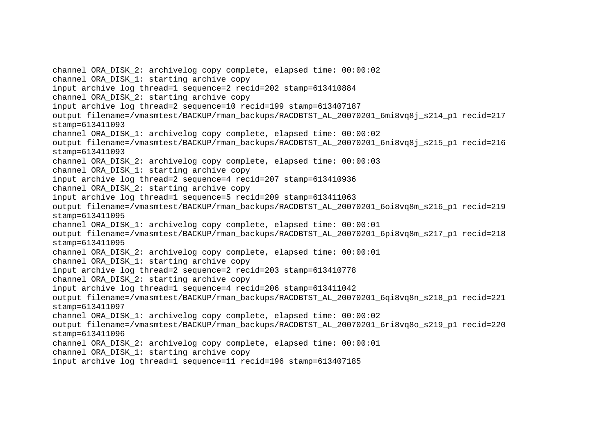channel ORA\_DISK\_2: archivelog copy complete, elapsed time: 00:00:02 channel ORA\_DISK\_1: starting archive copy input archive log thread=1 sequence=2 recid=202 stamp=613410884 channel ORA\_DISK\_2: starting archive copy input archive log thread=2 sequence=10 recid=199 stamp=613407187 output filename=/vmasmtest/BACKUP/rman\_backups/RACDBTST\_AL\_20070201\_6mi8vq8j\_s214\_p1 recid=217 stamp=613411093 channel ORA\_DISK\_1: archivelog copy complete, elapsed time: 00:00:02 output filename=/vmasmtest/BACKUP/rman\_backups/RACDBTST\_AL\_20070201\_6ni8vq8j\_s215\_p1 recid=216 stamp=613411093 channel ORA\_DISK\_2: archivelog copy complete, elapsed time: 00:00:03 channel ORA\_DISK\_1: starting archive copy input archive log thread=2 sequence=4 recid=207 stamp=613410936 channel ORA\_DISK\_2: starting archive copy input archive log thread=1 sequence=5 recid=209 stamp=613411063 output filename=/vmasmtest/BACKUP/rman\_backups/RACDBTST\_AL\_20070201\_6oi8vq8m\_s216\_p1 recid=219 stamp=613411095 channel ORA\_DISK\_1: archivelog copy complete, elapsed time: 00:00:01 output filename=/vmasmtest/BACKUP/rman\_backups/RACDBTST\_AL\_20070201\_6pi8vq8m\_s217\_p1 recid=218 stamp=613411095 channel ORA\_DISK\_2: archivelog copy complete, elapsed time: 00:00:01 channel ORA DISK 1: starting archive copy input archive log thread=2 sequence=2 recid=203 stamp=613410778 channel ORA\_DISK\_2: starting archive copy input archive log thread=1 sequence=4 recid=206 stamp=613411042 output filename=/vmasmtest/BACKUP/rman\_backups/RACDBTST\_AL\_20070201\_6qi8vq8n\_s218\_p1 recid=221 stamp=613411097 channel ORA\_DISK\_1: archivelog copy complete, elapsed time: 00:00:02 output filename=/vmasmtest/BACKUP/rman\_backups/RACDBTST\_AL\_20070201\_6ri8vq8o\_s219\_p1 recid=220 stamp=613411096 channel ORA\_DISK\_2: archivelog copy complete, elapsed time: 00:00:01 channel ORA\_DISK\_1: starting archive copy input archive log thread=1 sequence=11 recid=196 stamp=613407185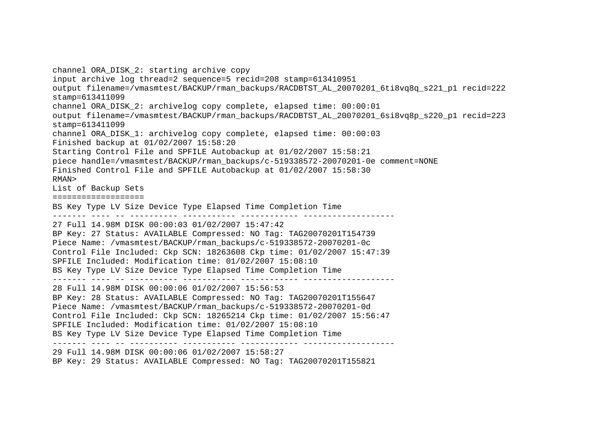channel ORA\_DISK\_2: starting archive copy input archive log thread=2 sequence=5 recid=208 stamp=613410951 output filename=/vmasmtest/BACKUP/rman\_backups/RACDBTST\_AL\_20070201\_6ti8vq8q\_s221\_p1 recid=222 stamp=613411099 channel ORA\_DISK\_2: archivelog copy complete, elapsed time: 00:00:01 output filename=/vmasmtest/BACKUP/rman\_backups/RACDBTST\_AL\_20070201\_6si8vq8p\_s220\_p1 recid=223 stamp=613411099 channel ORA\_DISK\_1: archivelog copy complete, elapsed time: 00:00:03 Finished backup at 01/02/2007 15:58:20 Starting Control File and SPFILE Autobackup at 01/02/2007 15:58:21 piece handle=/vmasmtest/BACKUP/rman\_backups/c-519338572-20070201-0e comment=NONE Finished Control File and SPFILE Autobackup at 01/02/2007 15:58:30 RMAN> List of Backup Sets =================== BS Key Type LV Size Device Type Elapsed Time Completion Time ------- ---- -- ---------- ----------- ------------ ------------------- 27 Full 14.98M DISK 00:00:03 01/02/2007 15:47:42 BP Key: 27 Status: AVAILABLE Compressed: NO Tag: TAG20070201T154739 Piece Name: /vmasmtest/BACKUP/rman\_backups/c-519338572-20070201-0c Control File Included: Ckp SCN: 18263608 Ckp time: 01/02/2007 15:47:39 SPFILE Included: Modification time: 01/02/2007 15:08:10 BS Key Type LV Size Device Type Elapsed Time Completion Time ------- ---- -- ---------- ----------- ------------ ------------------- 28 Full 14.98M DISK 00:00:06 01/02/2007 15:56:53 BP Key: 28 Status: AVAILABLE Compressed: NO Tag: TAG20070201T155647 Piece Name: /vmasmtest/BACKUP/rman\_backups/c-519338572-20070201-0d Control File Included: Ckp SCN: 18265214 Ckp time: 01/02/2007 15:56:47 SPFILE Included: Modification time: 01/02/2007 15:08:10 BS Key Type LV Size Device Type Elapsed Time Completion Time ------- ---- -- ---------- ----------- ------------ ------------------- 29 Full 14.98M DISK 00:00:06 01/02/2007 15:58:27 BP Key: 29 Status: AVAILABLE Compressed: NO Tag: TAG20070201T155821